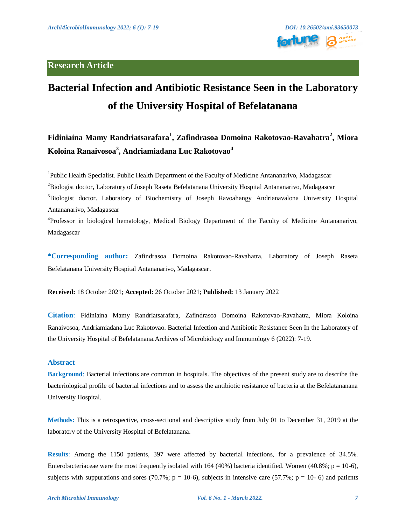# **Research Article**



# **Bacterial Infection and Antibiotic Resistance Seen in the Laboratory of the University Hospital of Befelatanana**

# **Fidiniaina Mamy Randriatsarafara<sup>1</sup> , Zafindrasoa Domoina Rakotovao-Ravahatra<sup>2</sup> , Miora Koloina Ranaivosoa<sup>3</sup> , Andriamiadana Luc Rakotovao<sup>4</sup>**

<sup>1</sup>Public Health Specialist. Public Health Department of the Faculty of Medicine Antananarivo, Madagascar <sup>2</sup>Biologist doctor, Laboratory of Joseph Raseta Befelatanana University Hospital Antananarivo, Madagascar <sup>3</sup>Biologist doctor. Laboratory of Biochemistry of Joseph Ravoahangy Andrianavalona University Hospital Antananarivo, Madagascar

<sup>4</sup>Professor in biological hematology, Medical Biology Department of the Faculty of Medicine Antananarivo, Madagascar

**\*Corresponding author:** Zafindrasoa Domoina Rakotovao-Ravahatra, Laboratory of Joseph Raseta Befelatanana University Hospital Antananarivo, Madagascar.

**Received:** 18 October 2021; **Accepted:** 26 October 2021; **Published:** 13 January 2022

**Citation**: Fidiniaina Mamy Randriatsarafara, Zafindrasoa Domoina Rakotovao-Ravahatra, Miora Koloina Ranaivosoa, Andriamiadana Luc Rakotovao. Bacterial Infection and Antibiotic Resistance Seen In the Laboratory of the University Hospital of Befelatanana.Archives of Microbiology and Immunology 6 (2022): 7-19.

# **Abstract**

**Background**: Bacterial infections are common in hospitals. The objectives of the present study are to describe the bacteriological profile of bacterial infections and to assess the antibiotic resistance of bacteria at the Befelatananana University Hospital.

**Methods:** This is a retrospective, cross-sectional and descriptive study from July 01 to December 31, 2019 at the laboratory of the University Hospital of Befelatanana.

**Results**: Among the 1150 patients, 397 were affected by bacterial infections, for a prevalence of 34.5%. Enterobacteriaceae were the most frequently isolated with 164 (40%) bacteria identified. Women (40.8%;  $p = 10-6$ ), subjects with suppurations and sores (70.7%;  $p = 10-6$ ), subjects in intensive care (57.7%;  $p = 10-6$ ) and patients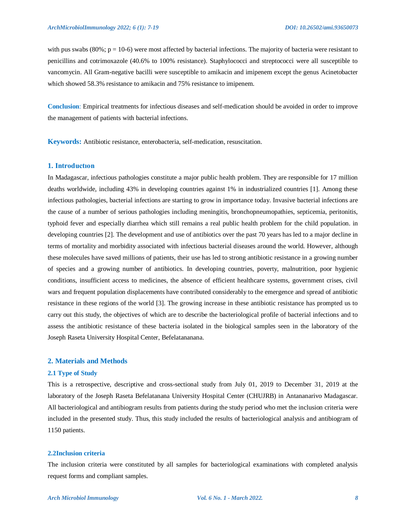with pus swabs  $(80\%; p = 10-6)$  were most affected by bacterial infections. The majority of bacteria were resistant to penicillins and cotrimoxazole (40.6% to 100% resistance). Staphylococci and streptococci were all susceptible to vancomycin. All Gram-negative bacilli were susceptible to amikacin and imipenem except the genus Acinetobacter which showed 58.3% resistance to amikacin and 75% resistance to imipenem.

**Conclusion**: Empirical treatments for infectious diseases and self-medication should be avoided in order to improve the management of patients with bacterial infections.

**Keywords:** Antibiotic resistance, enterobacteria, self-medication, resuscitation.

#### **1. Introductıon**

In Madagascar, infectious pathologies constitute a major public health problem. They are responsible for 17 million deaths worldwide, including 43% in developing countries against 1% in industrialized countries [1]. Among these infectious pathologies, bacterial infections are starting to grow in importance today. Invasive bacterial infections are the cause of a number of serious pathologies including meningitis, bronchopneumopathies, septicemia, peritonitis, typhoid fever and especially diarrhea which still remains a real public health problem for the child population. in developing countries [2]. The development and use of antibiotics over the past 70 years has led to a major decline in terms of mortality and morbidity associated with infectious bacterial diseases around the world. However, although these molecules have saved millions of patients, their use has led to strong antibiotic resistance in a growing number of species and a growing number of antibiotics. In developing countries, poverty, malnutrition, poor hygienic conditions, insufficient access to medicines, the absence of efficient healthcare systems, government crises, civil wars and frequent population displacements have contributed considerably to the emergence and spread of antibiotic resistance in these regions of the world [3]. The growing increase in these antibiotic resistance has prompted us to carry out this study, the objectives of which are to describe the bacteriological profile of bacterial infections and to assess the antibiotic resistance of these bacteria isolated in the biological samples seen in the laboratory of the Joseph Raseta University Hospital Center, Befelatananana.

# **2. Materials and Methods**

#### **2.1 Type of Study**

This is a retrospective, descriptive and cross-sectional study from July 01, 2019 to December 31, 2019 at the laboratory of the Joseph Raseta Befelatanana University Hospital Center (CHUJRB) in Antananarivo Madagascar. All bacteriological and antibiogram results from patients during the study period who met the inclusion criteria were included in the presented study. Thus, this study included the results of bacteriological analysis and antibiogram of 1150 patients.

#### **2.2Inclusion criteria**

The inclusion criteria were constituted by all samples for bacteriological examinations with completed analysis request forms and compliant samples.

#### *Arch Microbiol Immunology Vol. 6 No. 1 - March 2022. 8*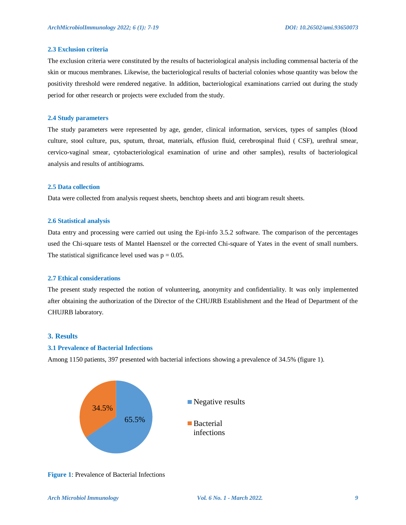# **2.3 Exclusion criteria**

The exclusion criteria were constituted by the results of bacteriological analysis including commensal bacteria of the skin or mucous membranes. Likewise, the bacteriological results of bacterial colonies whose quantity was below the positivity threshold were rendered negative. In addition, bacteriological examinations carried out during the study period for other research or projects were excluded from the study.

#### **2.4 Study parameters**

The study parameters were represented by age, gender, clinical information, services, types of samples (blood culture, stool culture, pus, sputum, throat, materials, effusion fluid, cerebrospinal fluid ( CSF), urethral smear, cervico-vaginal smear, cytobacteriological examination of urine and other samples), results of bacteriological analysis and results of antibiograms.

# **2.5 Data collection**

Data were collected from analysis request sheets, benchtop sheets and anti biogram result sheets.

#### **2.6 Statistical analysis**

Data entry and processing were carried out using the Epi-info 3.5.2 software. The comparison of the percentages used the Chi-square tests of Mantel Haenszel or the corrected Chi-square of Yates in the event of small numbers. The statistical significance level used was  $p = 0.05$ .

#### **2.7 Ethical considerations**

The present study respected the notion of volunteering, anonymity and confidentiality. It was only implemented after obtaining the authorization of the Director of the CHUJRB Establishment and the Head of Department of the CHUJRB laboratory.

# **3. Results**

#### **3.1 Prevalence of Bacterial Infections**

Among 1150 patients, 397 presented with bacterial infections showing a prevalence of 34.5% (figure 1).



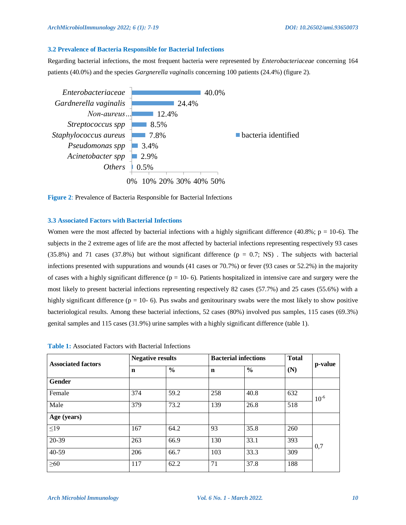# **3.2 Prevalence of Bacteria Responsible for Bacterial Infections**

Regarding bacterial infections, the most frequent bacteria were represented by *Enterobacteriaceae* concerning 164 patients (40.0%) and the species *Gargnerella vaginalis* concerning 100 patients (24.4%) (figure 2).





# **3.3 Associated Factors with Bacterial Infections**

Women were the most affected by bacterial infections with a highly significant difference (40.8%;  $p = 10-6$ ). The subjects in the 2 extreme ages of life are the most affected by bacterial infections representing respectively 93 cases (35.8%) and 71 cases (37.8%) but without significant difference ( $p = 0.7$ ; NS). The subjects with bacterial infections presented with suppurations and wounds (41 cases or 70.7%) or fever (93 cases or 52.2%) in the majority of cases with a highly significant difference ( $p = 10-6$ ). Patients hospitalized in intensive care and surgery were the most likely to present bacterial infections representing respectively 82 cases (57.7%) and 25 cases (55.6%) with a highly significant difference ( $p = 10-6$ ). Pus swabs and genitourinary swabs were the most likely to show positive bacteriological results. Among these bacterial infections, 52 cases (80%) involved pus samples, 115 cases (69.3%) genital samples and 115 cases (31.9%) urine samples with a highly significant difference (table 1).

| <b>Associated factors</b> | <b>Negative results</b> |               | <b>Bacterial infections</b> |               | <b>Total</b> | p-value   |
|---------------------------|-------------------------|---------------|-----------------------------|---------------|--------------|-----------|
|                           | $\mathbf n$             | $\frac{6}{6}$ | $\mathbf n$                 | $\frac{6}{9}$ | (N)          |           |
| Gender                    |                         |               |                             |               |              |           |
| Female                    | 374                     | 59.2          | 258                         | 40.8          | 632          | $10^{-6}$ |
| Male                      | 379                     | 73.2          | 139                         | 26.8          | 518          |           |
| Age (years)               |                         |               |                             |               |              |           |
| $\leq$ 19                 | 167                     | 64.2          | 93                          | 35.8          | 260          | 0,7       |
| 20-39                     | 263                     | 66.9          | 130                         | 33.1          | 393          |           |
| $40 - 59$                 | 206                     | 66.7          | 103                         | 33.3          | 309          |           |
| $\geq 60$                 | 117                     | 62.2          | 71                          | 37.8          | 188          |           |

| <b>Table 1:</b> Associated Factors with Bacterial Infections |
|--------------------------------------------------------------|
|                                                              |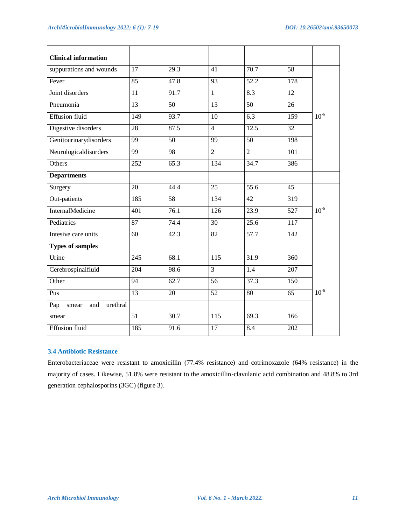| <b>Clinical information</b>     |                  |                 |                  |                   |                  |           |
|---------------------------------|------------------|-----------------|------------------|-------------------|------------------|-----------|
| suppurations and wounds         | $\overline{17}$  | 29.3            | $\overline{41}$  | 70.7              | 58               |           |
| Fever                           | 85               | 47.8            | $\overline{93}$  | 52.2              | 178              | $10^{-6}$ |
| Joint disorders                 | 11               | 91.7            | $\overline{1}$   | 8.3               | $\overline{12}$  |           |
| Pneumonia                       | $\overline{13}$  | 50              | $\overline{13}$  | 50                | $\overline{26}$  |           |
| <b>Effusion fluid</b>           | 149              | 93.7            | 10               | $\overline{6.3}$  | 159              |           |
| Digestive disorders             | 28               | 87.5            | $\overline{4}$   | 12.5              | 32               |           |
| Genitourinarydisorders          | 99               | $\overline{50}$ | $\overline{99}$  | 50                | 198              |           |
| Neurologicaldisorders           | 99               | 98              | $\overline{2}$   | $\overline{2}$    | 101              |           |
| Others                          | 252              | 65.3            | 134              | 34.7              | 386              |           |
| <b>Departments</b>              |                  |                 |                  |                   |                  |           |
| Surgery                         | $\overline{20}$  | 44.4            | $\overline{25}$  | $\overline{55.6}$ | $\overline{45}$  | $10^{-6}$ |
| Out-patients                    | 185              | 58              | 134              | 42                | 319              |           |
| InternalMedicine                | $\overline{401}$ | 76.1            | $\frac{126}{2}$  | $\overline{23.9}$ | $\overline{527}$ |           |
| Pediatrics                      | 87               | 74.4            | 30               | 25.6              | $\overline{117}$ |           |
| Intesive care units             | 60               | 42.3            | 82               | 57.7              | 142              |           |
| <b>Types of samples</b>         |                  |                 |                  |                   |                  |           |
| Urine                           | $\overline{245}$ | 68.1            | $\overline{115}$ | 31.9              | 360              | $10^{-6}$ |
| Cerebrospinalfluid              | 204              | 98.6            | $\overline{3}$   | $\overline{1.4}$  | 207              |           |
| Other                           | 94               | 62.7            | 56               | 37.3              | 150              |           |
| Pus                             | $\overline{13}$  | $\overline{20}$ | $\overline{52}$  | $\overline{80}$   | $\overline{65}$  |           |
| Pap<br>urethral<br>and<br>smear |                  |                 |                  |                   |                  |           |
| smear                           | 51               | 30.7            | 115              | 69.3              | 166              |           |
| <b>Effusion fluid</b>           | 185              | 91.6            | $\overline{17}$  | 8.4               | $\overline{202}$ |           |

# **3.4 Antibiotic Resistance**

Enterobacteriaceae were resistant to amoxicillin (77.4% resistance) and cotrimoxazole (64% resistance) in the majority of cases. Likewise, 51.8% were resistant to the amoxicillin-clavulanic acid combination and 48.8% to 3rd generation cephalosporins (3GC) (figure 3).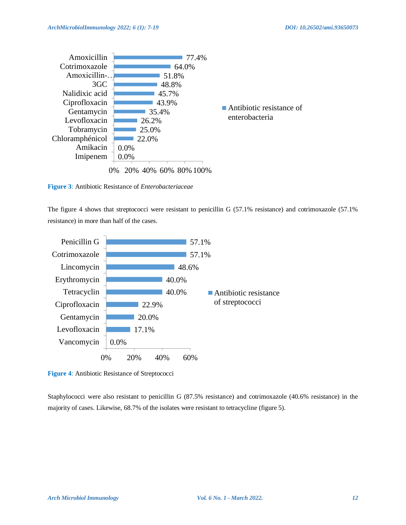

**Figure 3**: Antibiotic Resistance of *Enterobacteriaceae*

The figure 4 shows that streptococci were resistant to penicillin G (57.1% resistance) and cotrimoxazole (57.1% resistance) in more than half of the cases.



**Figure 4**: Antibiotic Resistance of Streptococci

Staphylococci were also resistant to penicillin G (87.5% resistance) and cotrimoxazole (40.6% resistance) in the majority of cases. Likewise, 68.7% of the isolates were resistant to tetracycline (figure 5).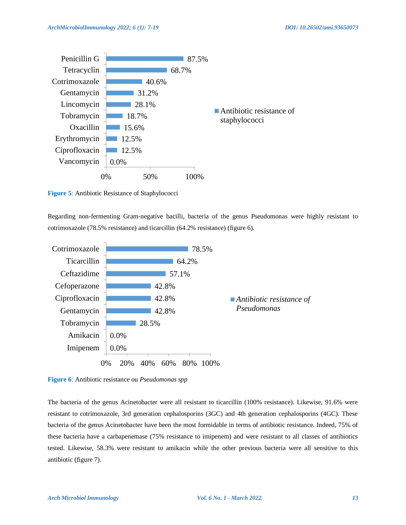

**Figure 5**: Antibiotic Resistance of Staphylococci

Regarding non-fermenting Gram-negative bacilli, bacteria of the genus Pseudomonas were highly resistant to cotrimoxazole (78.5% resistance) and ticarcillin (64.2% resistance) (figure 6).



**Figure 6**: Antibiotic resistance ou *Pseudomonas spp*

The bacteria of the genus Acinetobacter were all resistant to ticarcillin (100% resistance). Likewise, 91.6% were resistant to cotrimoxazole, 3rd generation cephalosporins (3GC) and 4th generation cephalosporins (4GC). These bacteria of the genus Acinetobacter have been the most formidable in terms of antibiotic resistance. Indeed, 75% of these bacteria have a carbapenemase (75% resistance to imipenem) and were resistant to all classes of antibiotics tested. Likewise, 58.3% were resistant to amikacin while the other previous bacteria were all sensitive to this antibiotic (figure 7).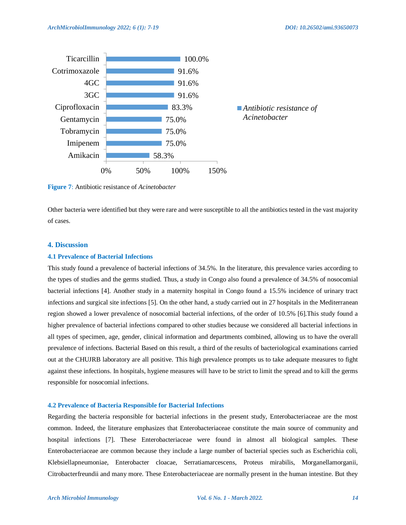

**Figure 7**: Antibiotic resistance of *Acinetobacter*

Other bacteria were identified but they were rare and were susceptible to all the antibiotics tested in the vast majority of cases.

# **4. Discussion**

#### **4.1 Prevalence of Bacterial Infections**

This study found a prevalence of bacterial infections of 34.5%. In the literature, this prevalence varies according to the types of studies and the germs studied. Thus, a study in Congo also found a prevalence of 34.5% of nosocomial bacterial infections [4]. Another study in a maternity hospital in Congo found a 15.5% incidence of urinary tract infections and surgical site infections [5]. On the other hand, a study carried out in 27 hospitals in the Mediterranean region showed a lower prevalence of nosocomial bacterial infections, of the order of 10.5% [6].This study found a higher prevalence of bacterial infections compared to other studies because we considered all bacterial infections in all types of specimen, age, gender, clinical information and departments combined, allowing us to have the overall prevalence of infections. Bacterial Based on this result, a third of the results of bacteriological examinations carried out at the CHUJRB laboratory are all positive. This high prevalence prompts us to take adequate measures to fight against these infections. In hospitals, hygiene measures will have to be strict to limit the spread and to kill the germs responsible for nosocomial infections.

#### **4.2 Prevalence of Bacteria Responsible for Bacterial Infections**

Regarding the bacteria responsible for bacterial infections in the present study, Enterobacteriaceae are the most common. Indeed, the literature emphasizes that Enterobacteriaceae constitute the main source of community and hospital infections [7]. These Enterobacteriaceae were found in almost all biological samples. These Enterobacteriaceae are common because they include a large number of bacterial species such as Escherichia coli, Klebsiellapneumoniae, Enterobacter cloacae, Serratiamarcescens, Proteus mirabilis, Morganellamorganii, Citrobacterfreundii and many more. These Enterobacteriaceae are normally present in the human intestine. But they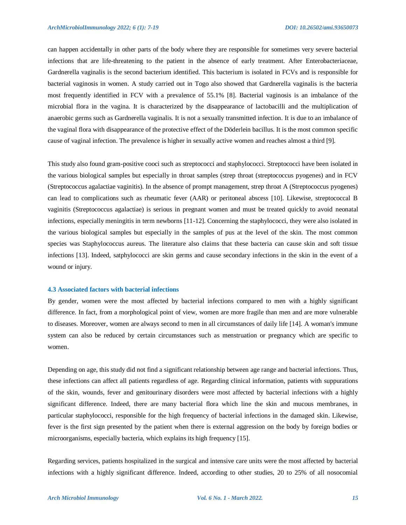can happen accidentally in other parts of the body where they are responsible for sometimes very severe bacterial infections that are life-threatening to the patient in the absence of early treatment. After Enterobacteriaceae, Gardnerella vaginalis is the second bacterium identified. This bacterium is isolated in FCVs and is responsible for bacterial vaginosis in women. A study carried out in Togo also showed that Gardnerella vaginalis is the bacteria most frequently identified in FCV with a prevalence of 55.1% [8]. Bacterial vaginosis is an imbalance of the microbial flora in the vagina. It is characterized by the disappearance of lactobacilli and the multiplication of anaerobic germs such as Gardnerella vaginalis. It is not a sexually transmitted infection. It is due to an imbalance of the vaginal flora with disappearance of the protective effect of the Döderlein bacillus. It is the most common specific cause of vaginal infection. The prevalence is higher in sexually active women and reaches almost a third [9].

This study also found gram-positive cooci such as streptococci and staphylococci. Streptococci have been isolated in the various biological samples but especially in throat samples (strep throat (streptococcus pyogenes) and in FCV (Streptococcus agalactiae vaginitis). In the absence of prompt management, strep throat A (Streptococcus pyogenes) can lead to complications such as rheumatic fever (AAR) or peritoneal abscess [10]. Likewise, streptococcal B vaginitis (Streptococcus agalactiae) is serious in pregnant women and must be treated quickly to avoid neonatal infections, especially meningitis in term newborns [11-12]. Concerning the staphylococci, they were also isolated in the various biological samples but especially in the samples of pus at the level of the skin. The most common species was Staphylococcus aureus. The literature also claims that these bacteria can cause skin and soft tissue infections [13]. Indeed, satphylococci are skin germs and cause secondary infections in the skin in the event of a wound or injury.

#### **4.3 Associated factors with bacterial infections**

By gender, women were the most affected by bacterial infections compared to men with a highly significant difference. In fact, from a morphological point of view, women are more fragile than men and are more vulnerable to diseases. Moreover, women are always second to men in all circumstances of daily life [14]. A woman's immune system can also be reduced by certain circumstances such as menstruation or pregnancy which are specific to women.

Depending on age, this study did not find a significant relationship between age range and bacterial infections. Thus, these infections can affect all patients regardless of age. Regarding clinical information, patients with suppurations of the skin, wounds, fever and genitourinary disorders were most affected by bacterial infections with a highly significant difference. Indeed, there are many bacterial flora which line the skin and mucous membranes, in particular staphylococci, responsible for the high frequency of bacterial infections in the damaged skin. Likewise, fever is the first sign presented by the patient when there is external aggression on the body by foreign bodies or microorganisms, especially bacteria, which explains its high frequency [15].

Regarding services, patients hospitalized in the surgical and intensive care units were the most affected by bacterial infections with a highly significant difference. Indeed, according to other studies, 20 to 25% of all nosocomial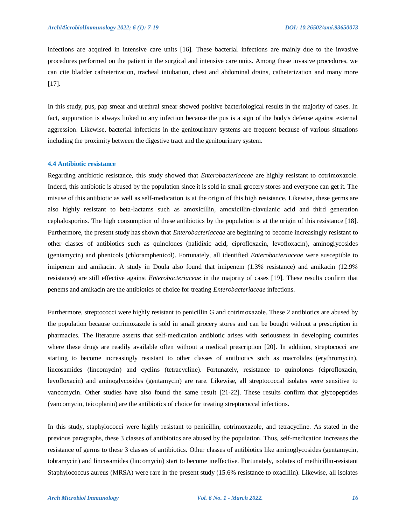infections are acquired in intensive care units [16]. These bacterial infections are mainly due to the invasive procedures performed on the patient in the surgical and intensive care units. Among these invasive procedures, we can cite bladder catheterization, tracheal intubation, chest and abdominal drains, catheterization and many more [17].

In this study, pus, pap smear and urethral smear showed positive bacteriological results in the majority of cases. In fact, suppuration is always linked to any infection because the pus is a sign of the body's defense against external aggression. Likewise, bacterial infections in the genitourinary systems are frequent because of various situations including the proximity between the digestive tract and the genitourinary system.

#### **4.4 Antibiotic resistance**

Regarding antibiotic resistance, this study showed that *Enterobacteriaceae* are highly resistant to cotrimoxazole. Indeed, this antibiotic is abused by the population since it is sold in small grocery stores and everyone can get it. The misuse of this antibiotic as well as self-medication is at the origin of this high resistance. Likewise, these germs are also highly resistant to beta-lactams such as amoxicillin, amoxicillin-clavulanic acid and third generation cephalosporins. The high consumption of these antibiotics by the population is at the origin of this resistance [18]. Furthermore, the present study has shown that *Enterobacteriaceae* are beginning to become increasingly resistant to other classes of antibiotics such as quinolones (nalidixic acid, ciprofloxacin, levofloxacin), aminoglycosides (gentamycin) and phenicols (chloramphenicol). Fortunately, all identified *Enterobacteriaceae* were susceptible to imipenem and amikacin. A study in Doula also found that imipenem (1.3% resistance) and amikacin (12.9% resistance) are still effective against *Enterobacteriaceae* in the majority of cases [19]. These results confirm that penems and amikacin are the antibiotics of choice for treating *Enterobacteriaceae* infections.

Furthermore, streptococci were highly resistant to penicillin G and cotrimoxazole. These 2 antibiotics are abused by the population because cotrimoxazole is sold in small grocery stores and can be bought without a prescription in pharmacies. The literature asserts that self-medication antibiotic arises with seriousness in developing countries where these drugs are readily available often without a medical prescription [20]. In addition, streptococci are starting to become increasingly resistant to other classes of antibiotics such as macrolides (erythromycin), lincosamides (lincomycin) and cyclins (tetracycline). Fortunately, resistance to quinolones (ciprofloxacin, levofloxacin) and aminoglycosides (gentamycin) are rare. Likewise, all streptococcal isolates were sensitive to vancomycin. Other studies have also found the same result [21-22]. These results confirm that glycopeptides (vancomycin, teicoplanin) are the antibiotics of choice for treating streptococcal infections.

In this study, staphylococci were highly resistant to penicillin, cotrimoxazole, and tetracycline. As stated in the previous paragraphs, these 3 classes of antibiotics are abused by the population. Thus, self-medication increases the resistance of germs to these 3 classes of antibiotics. Other classes of antibiotics like aminoglycosides (gentamycin, tobramycin) and lincosamides (lincomycin) start to become ineffective. Fortunately, isolates of methicillin-resistant Staphylococcus aureus (MRSA) were rare in the present study (15.6% resistance to oxacillin). Likewise, all isolates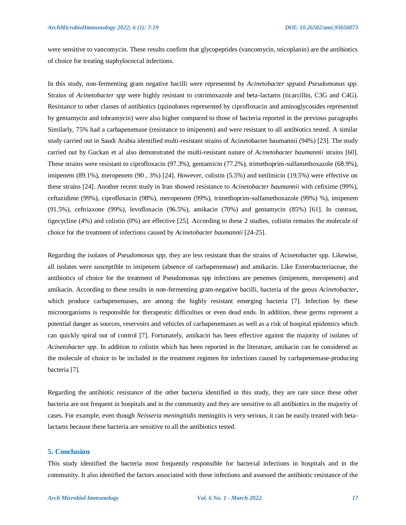were sensitive to vancomycin. These results confirm that glycopeptides (vancomycin, teicoplanin) are the antibiotics of choice for treating staphylococcal infections.

In this study, non-fermenting gram negative bacilli were represented by *Acinetobacter spp*and *Pseudomonas spp.*  Strains of *Acinetobacter spp* were highly resistant to cotrimoxazole and beta-lactams (ticarcillin, C3G and C4G). Resistance to other classes of antibiotics (quinolones represented by ciprofloxacin and aminoglycosides represented by gentamycin and tobramycin) were also higher compared to those of bacteria reported in the previous paragraphs Similarly, 75% had a carbapenemase (resistance to imipenem) and were resistant to all antibiotics tested. A similar study carried out in Saudi Arabia identified multi-resistant strains of Acinetobacter baumannii (94%) [23]. The study carried out by Guckan et al also demonstrated the multi-resistant nature of *Acinetobacter baumannii* strains [60]. These strains were resistant to ciprofloxacin (97.3%), gentamicin (77.2%), trimethoprim-sulfamethoxazole (68.9%), imipenem (89.1%), meropenem (90 , 3%) [24]. However, colistin (5.5%) and netilmicin (19.5%) were effective on these strains [24]. Another recent study in Iran showed resistance to *Acinetobacter baumannii* with cefixime (99%), ceftazidime (99%), ciprofloxacin (98%), meropenem (99%), trimethoprim-sulfamethoxazole (99%) %), imipenem (91.5%), ceftriaxone (99%), levofloxacin (96.5%), amikacin (70%) and gentamycin (85%) [61]. In contrast, tigecycline (4%) and colistin (0%) are effective [25]. According to these 2 studies, colistin remains the molecule of choice for the treatment of infections caused by *Acinetobacter baumannii* [24-25].

Regarding the isolates of *Pseudomonas spp*, they are less resistant than the strains of Acinetobacter spp. Likewise, all isolates were susceptible to imipenem (absence of carbapenemase) and amikacin. Like Enterobacteriaceae, the antibiotics of choice for the treatment of Pseudomonas spp infections are penemes (imipenem, meropenem) and amikacin. According to these results in non-fermenting gram-negative bacilli, bacteria of the genus *Acinetobacter*, which produce carbapenemases, are among the highly resistant emerging bacteria [7]. Infection by these microorganisms is responsible for therapeutic difficulties or even dead ends. In addition, these germs represent a potential danger as sources, reservoirs and vehicles of carbapenemases as well as a risk of hospital epidemics which can quickly spiral out of control [7]. Fortunately, amikacin has been effective against the majority of isolates of *Acinetobacter spp*. In addition to colistin which has been reported in the literature, amikacin can be considered as the molecule of choice to be included in the treatment regimen for infections caused by carbapenemase-producing bacteria [7].

Regarding the antibiotic resistance of the other bacteria identified in this study, they are rare since these other bacteria are not frequent in hospitals and in the community and they are sensitive to all antibiotics in the majority of cases. For example, even though *Neisseria meningitidis* meningitis is very serious, it can be easily treated with betalactams because these bacteria are sensitive to all the antibiotics tested.

# **5. Conclusion**

This study identified the bacteria most frequently responsible for bacterial infections in hospitals and in the community. It also identified the factors associated with these infections and assessed the antibiotic resistance of the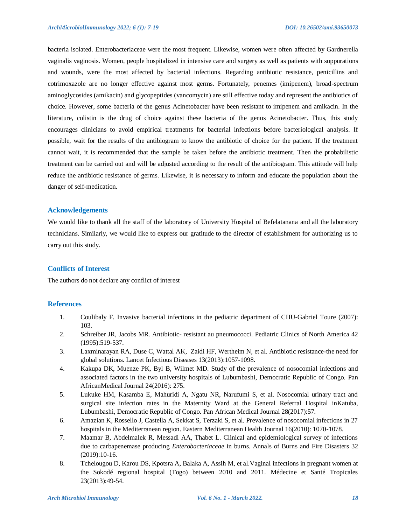bacteria isolated. Enterobacteriaceae were the most frequent. Likewise, women were often affected by Gardnerella vaginalis vaginosis. Women, people hospitalized in intensive care and surgery as well as patients with suppurations and wounds, were the most affected by bacterial infections. Regarding antibiotic resistance, penicillins and cotrimoxazole are no longer effective against most germs. Fortunately, penemes (imipenem), broad-spectrum aminoglycosides (amikacin) and glycopeptides (vancomycin) are still effective today and represent the antibiotics of choice. However, some bacteria of the genus Acinetobacter have been resistant to imipenem and amikacin. In the literature, colistin is the drug of choice against these bacteria of the genus Acinetobacter. Thus, this study encourages clinicians to avoid empirical treatments for bacterial infections before bacteriological analysis. If possible, wait for the results of the antibiogram to know the antibiotic of choice for the patient. If the treatment cannot wait, it is recommended that the sample be taken before the antibiotic treatment. Then the probabilistic treatment can be carried out and will be adjusted according to the result of the antibiogram. This attitude will help reduce the antibiotic resistance of germs. Likewise, it is necessary to inform and educate the population about the danger of self-medication.

#### **Acknowledgements**

We would like to thank all the staff of the laboratory of University Hospital of Befelatanana and all the laboratory technicians. Similarly, we would like to express our gratitude to the director of establishment for authorizing us to carry out this study.

# **Conflicts of Interest**

The authors do not declare any conflict of interest

# **References**

- 1. Coulibaly F. Invasive bacterial infections in the pediatric department of CHU-Gabriel Toure (2007): 103.
- 2. Schreiber JR, Jacobs MR. Antibiotic- resistant au pneumococci. Pediatric Clinics of North America 42 (1995):519-537.
- 3. Laxminarayan RA, Duse C, Wattal AK, Zaidi HF, Wertheim N, et al. Antibiotic resistance-the need for global solutions. Lancet Infectious Diseases 13(2013):1057-1098.
- 4. Kakupa DK, Muenze PK, Byl B, Wilmet MD. Study of the prevalence of nosocomial infections and associated factors in the two university hospitals of Lubumbashi, Democratic Republic of Congo. Pan AfricanMedical Journal 24(2016): 275.
- 5. Lukuke HM, Kasamba E, Mahuridi A, Ngatu NR, Narufumi S, et al. Nosocomial urinary tract and surgical site infection rates in the Maternity Ward at the General Referral Hospital inKatuba, Lubumbashi, Democratic Republic of Congo. Pan African Medical Journal 28(2017):57.
- 6. Amazian K, Rossello J, Castella A, Sekkat S, Terzaki S, et al. Prevalence of nosocomial infections in 27 hospitals in the Mediterranean region. Eastern Mediterranean Health Journal 16(2010): 1070-1078.
- 7. Maamar B, Abdelmalek R, Messadi AA, Thabet L. Clinical and epidemiological survey of infections due to carbapenemase producing *Enterobacteriaceae* in burns. Annals of Burns and Fire Disasters 32 (2019):10-16.
- 8. Tchelougou D, Karou DS, Kpotsra A, Balaka A, Assih M, et al.Vaginal infections in pregnant women at the Sokodé regional hospital (Togo) between 2010 and 2011. Médecine et Santé Tropicales 23(2013):49-54.